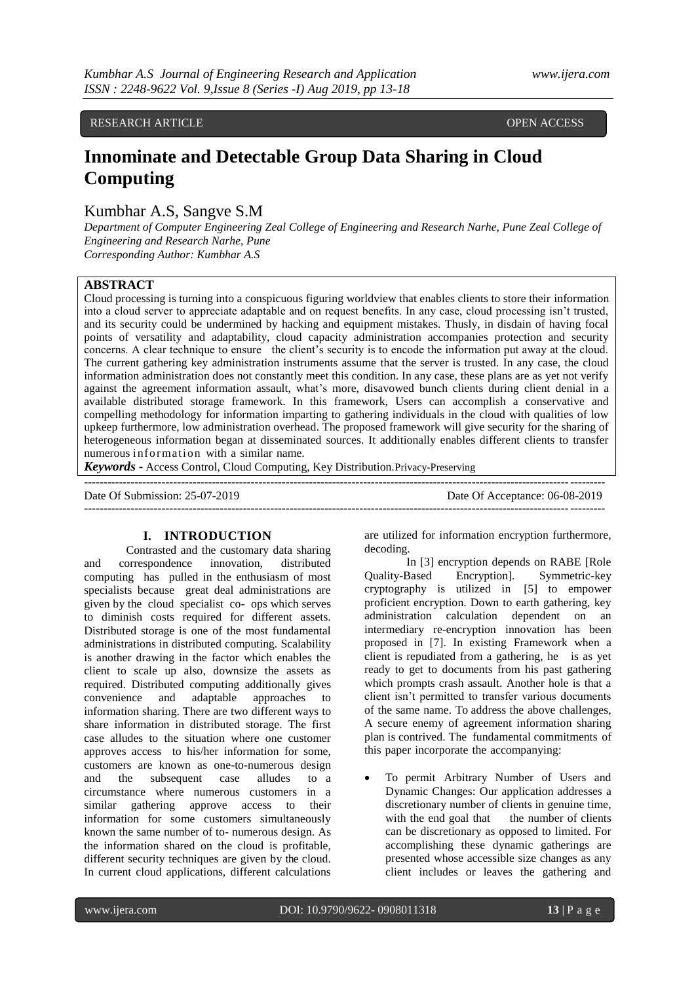# RESEARCH ARTICLE **CONTRACTES AND LOCAL CONTRACTES** OPEN ACCESS

# **Innominate and Detectable Group Data Sharing in Cloud Computing**

# Kumbhar A.S, Sangve S.M

*Department of Computer Engineering Zeal College of Engineering and Research Narhe, Pune Zeal College of Engineering and Research Narhe, Pune Corresponding Author: Kumbhar A.S*

#### **ABSTRACT**

Cloud processing is turning into a conspicuous figuring worldview that enables clients to store their information into a cloud server to appreciate adaptable and on request benefits. In any case, cloud processing isn't trusted, and its security could be undermined by hacking and equipment mistakes. Thusly, in disdain of having focal points of versatility and adaptability, cloud capacity administration accompanies protection and security concerns. A clear technique to ensure the client's security is to encode the information put away at the cloud. The current gathering key administration instruments assume that the server is trusted. In any case, the cloud information administration does not constantly meet this condition. In any case, these plans are as yet not verify against the agreement information assault, what's more, disavowed bunch clients during client denial in a available distributed storage framework. In this framework, Users can accomplish a conservative and compelling methodology for information imparting to gathering individuals in the cloud with qualities of low upkeep furthermore, low administration overhead. The proposed framework will give security for the sharing of heterogeneous information began at disseminated sources. It additionally enables different clients to transfer numerous information with a similar name.

*Keywords* **-** Access Control, Cloud Computing, Key Distribution.Privacy-Preserving

-------------------------------------------------------------------------------------------------------------------------------------- Date Of Submission: 25-07-2019 Date Of Acceptance: 06-08-2019 --------------------------------------------------------------------------------------------------------------------------------------

# **I. INTRODUCTION**

Contrasted and the customary data sharing and correspondence innovation, distributed computing has pulled in the enthusiasm of most specialists because great deal administrations are given by the cloud specialist co- ops which serves to diminish costs required for different assets. Distributed storage is one of the most fundamental administrations in distributed computing. Scalability is another drawing in the factor which enables the client to scale up also, downsize the assets as required. Distributed computing additionally gives convenience and adaptable approaches to information sharing. There are two different ways to share information in distributed storage. The first case alludes to the situation where one customer approves access to his/her information for some, customers are known as one-to-numerous design and the subsequent case alludes to a circumstance where numerous customers in a similar gathering approve access to their information for some customers simultaneously known the same number of to- numerous design. As the information shared on the cloud is profitable, different security techniques are given by the cloud. In current cloud applications, different calculations are utilized for information encryption furthermore, decoding.

In [3] encryption depends on RABE [Role Quality-Based Encryption]. Symmetric-key cryptography is utilized in [5] to empower proficient encryption. Down to earth gathering, key administration calculation dependent on an intermediary re-encryption innovation has been proposed in [7]. In existing Framework when a client is repudiated from a gathering, he is as yet ready to get to documents from his past gathering which prompts crash assault. Another hole is that a client isn't permitted to transfer various documents of the same name. To address the above challenges, A secure enemy of agreement information sharing plan is contrived. The fundamental commitments of this paper incorporate the accompanying:

 To permit Arbitrary Number of Users and Dynamic Changes: Our application addresses a discretionary number of clients in genuine time, with the end goal that the number of clients can be discretionary as opposed to limited. For accomplishing these dynamic gatherings are presented whose accessible size changes as any client includes or leaves the gathering and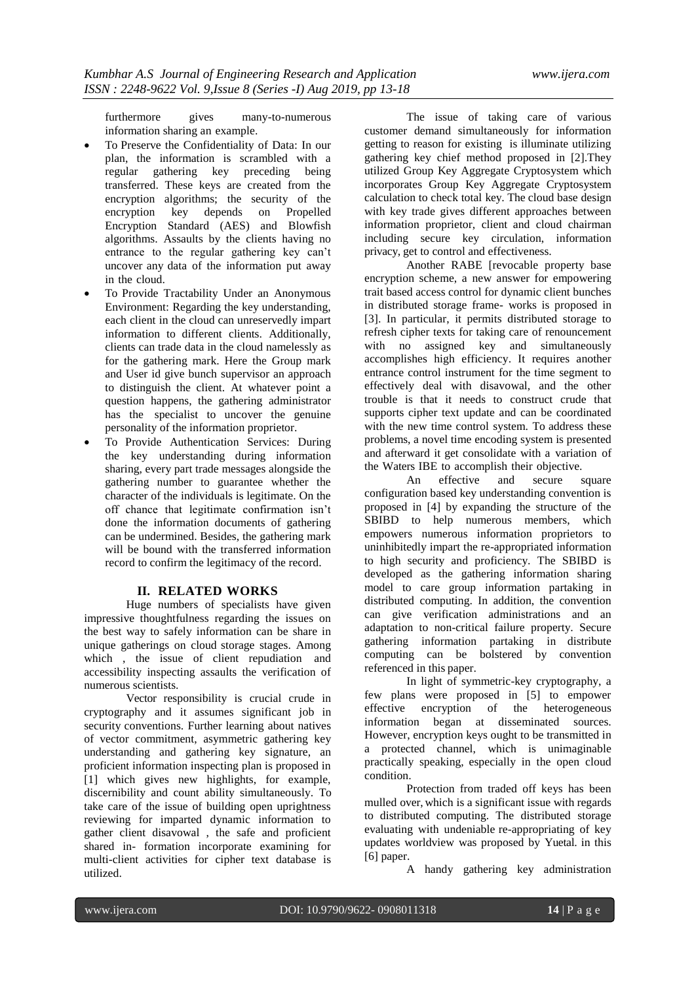furthermore gives many-to-numerous information sharing an example.

- To Preserve the Confidentiality of Data: In our plan, the information is scrambled with a regular gathering key preceding being transferred. These keys are created from the encryption algorithms; the security of the encryption key depends on Propelled Encryption Standard (AES) and Blowfish algorithms. Assaults by the clients having no entrance to the regular gathering key can't uncover any data of the information put away in the cloud.
- To Provide Tractability Under an Anonymous Environment: Regarding the key understanding, each client in the cloud can unreservedly impart information to different clients. Additionally, clients can trade data in the cloud namelessly as for the gathering mark. Here the Group mark and User id give bunch supervisor an approach to distinguish the client. At whatever point a question happens, the gathering administrator has the specialist to uncover the genuine personality of the information proprietor.
- To Provide Authentication Services: During the key understanding during information sharing, every part trade messages alongside the gathering number to guarantee whether the character of the individuals is legitimate. On the off chance that legitimate confirmation isn't done the information documents of gathering can be undermined. Besides, the gathering mark will be bound with the transferred information record to confirm the legitimacy of the record.

#### **II. RELATED WORKS**

Huge numbers of specialists have given impressive thoughtfulness regarding the issues on the best way to safely information can be share in unique gatherings on cloud storage stages. Among which , the issue of client repudiation and accessibility inspecting assaults the verification of numerous scientists.

Vector responsibility is crucial crude in cryptography and it assumes significant job in security conventions. Further learning about natives of vector commitment, asymmetric gathering key understanding and gathering key signature, an proficient information inspecting plan is proposed in [1] which gives new highlights, for example, discernibility and count ability simultaneously. To take care of the issue of building open uprightness reviewing for imparted dynamic information to gather client disavowal , the safe and proficient shared in- formation incorporate examining for multi-client activities for cipher text database is utilized.

The issue of taking care of various customer demand simultaneously for information getting to reason for existing is illuminate utilizing gathering key chief method proposed in [2].They utilized Group Key Aggregate Cryptosystem which incorporates Group Key Aggregate Cryptosystem calculation to check total key. The cloud base design with key trade gives different approaches between information proprietor, client and cloud chairman including secure key circulation, information privacy, get to control and effectiveness.

Another RABE [revocable property base encryption scheme, a new answer for empowering trait based access control for dynamic client bunches in distributed storage frame- works is proposed in [3]. In particular, it permits distributed storage to refresh cipher texts for taking care of renouncement with no assigned key and simultaneously accomplishes high efficiency. It requires another entrance control instrument for the time segment to effectively deal with disavowal, and the other trouble is that it needs to construct crude that supports cipher text update and can be coordinated with the new time control system. To address these problems, a novel time encoding system is presented and afterward it get consolidate with a variation of the Waters IBE to accomplish their objective.<br>An effective and secure

An effective and secure square configuration based key understanding convention is proposed in [4] by expanding the structure of the SBIBD to help numerous members, which empowers numerous information proprietors to uninhibitedly impart the re-appropriated information to high security and proficiency. The SBIBD is developed as the gathering information sharing model to care group information partaking in distributed computing. In addition, the convention can give verification administrations and an adaptation to non-critical failure property. Secure gathering information partaking in distribute computing can be bolstered by convention referenced in this paper.

In light of symmetric-key cryptography, a few plans were proposed in [5] to empower effective encryption of the heterogeneous information began at disseminated sources. However, encryption keys ought to be transmitted in a protected channel, which is unimaginable practically speaking, especially in the open cloud condition.

Protection from traded off keys has been mulled over, which is a significant issue with regards to distributed computing. The distributed storage evaluating with undeniable re-appropriating of key updates worldview was proposed by Yuetal. in this [6] paper.

A handy gathering key administration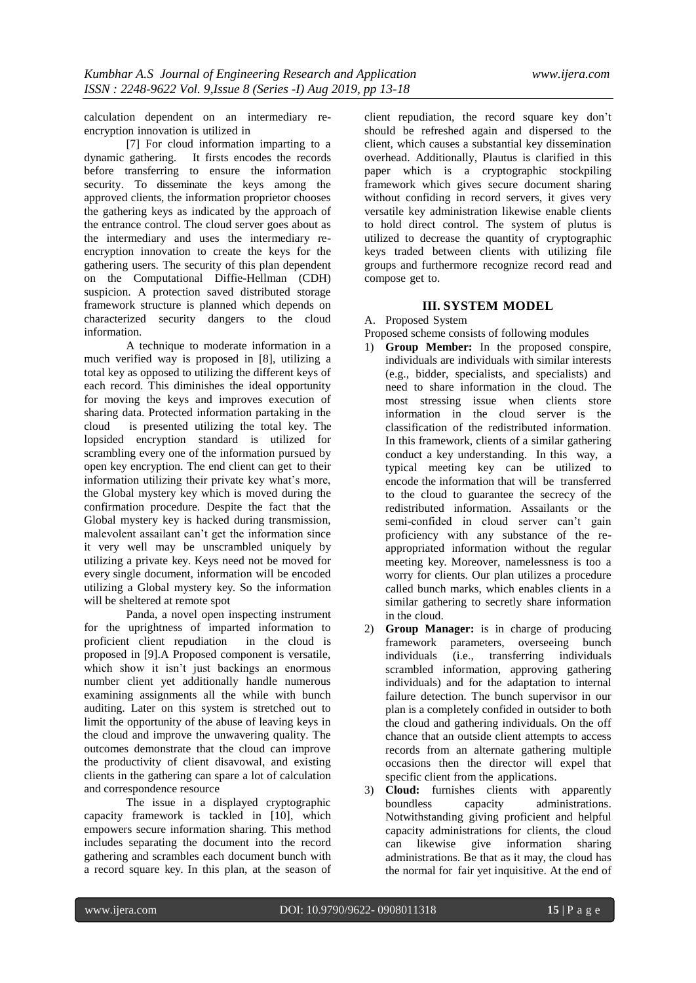calculation dependent on an intermediary reencryption innovation is utilized in

[7] For cloud information imparting to a dynamic gathering. It firsts encodes the records before transferring to ensure the information security. To disseminate the keys among the approved clients, the information proprietor chooses the gathering keys as indicated by the approach of the entrance control. The cloud server goes about as the intermediary and uses the intermediary reencryption innovation to create the keys for the gathering users. The security of this plan dependent on the Computational Diffie-Hellman (CDH) suspicion. A protection saved distributed storage framework structure is planned which depends on characterized security dangers to the cloud information.

A technique to moderate information in a much verified way is proposed in [8], utilizing a total key as opposed to utilizing the different keys of each record. This diminishes the ideal opportunity for moving the keys and improves execution of sharing data. Protected information partaking in the cloud is presented utilizing the total key. The lopsided encryption standard is utilized for scrambling every one of the information pursued by open key encryption. The end client can get to their information utilizing their private key what's more, the Global mystery key which is moved during the confirmation procedure. Despite the fact that the Global mystery key is hacked during transmission, malevolent assailant can't get the information since it very well may be unscrambled uniquely by utilizing a private key. Keys need not be moved for every single document, information will be encoded utilizing a Global mystery key. So the information will be sheltered at remote spot

Panda, a novel open inspecting instrument for the uprightness of imparted information to proficient client repudiation in the cloud is proposed in [9].A Proposed component is versatile, which show it isn't just backings an enormous number client yet additionally handle numerous examining assignments all the while with bunch auditing. Later on this system is stretched out to limit the opportunity of the abuse of leaving keys in the cloud and improve the unwavering quality. The outcomes demonstrate that the cloud can improve the productivity of client disavowal, and existing clients in the gathering can spare a lot of calculation and correspondence resource

The issue in a displayed cryptographic capacity framework is tackled in [10], which empowers secure information sharing. This method includes separating the document into the record gathering and scrambles each document bunch with a record square key. In this plan, at the season of client repudiation, the record square key don't should be refreshed again and dispersed to the client, which causes a substantial key dissemination overhead. Additionally, Plautus is clarified in this paper which is a cryptographic stockpiling framework which gives secure document sharing without confiding in record servers, it gives very versatile key administration likewise enable clients to hold direct control. The system of plutus is utilized to decrease the quantity of cryptographic keys traded between clients with utilizing file groups and furthermore recognize record read and compose get to.

# **III. SYSTEM MODEL**

A. Proposed System

Proposed scheme consists of following modules

- 1) **Group Member:** In the proposed conspire, individuals are individuals with similar interests (e.g., bidder, specialists, and specialists) and need to share information in the cloud. The most stressing issue when clients store information in the cloud server is the classification of the redistributed information. In this framework, clients of a similar gathering conduct a key understanding. In this way, a typical meeting key can be utilized to encode the information that will be transferred to the cloud to guarantee the secrecy of the redistributed information. Assailants or the semi-confided in cloud server can't gain proficiency with any substance of the reappropriated information without the regular meeting key. Moreover, namelessness is too a worry for clients. Our plan utilizes a procedure called bunch marks, which enables clients in a similar gathering to secretly share information in the cloud.
- 2) **Group Manager:** is in charge of producing framework parameters, overseeing bunch individuals (i.e., transferring individuals scrambled information, approving gathering individuals) and for the adaptation to internal failure detection. The bunch supervisor in our plan is a completely confided in outsider to both the cloud and gathering individuals. On the off chance that an outside client attempts to access records from an alternate gathering multiple occasions then the director will expel that specific client from the applications.
- 3) **Cloud:** furnishes clients with apparently boundless capacity administrations. Notwithstanding giving proficient and helpful capacity administrations for clients, the cloud can likewise give information sharing administrations. Be that as it may, the cloud has the normal for fair yet inquisitive. At the end of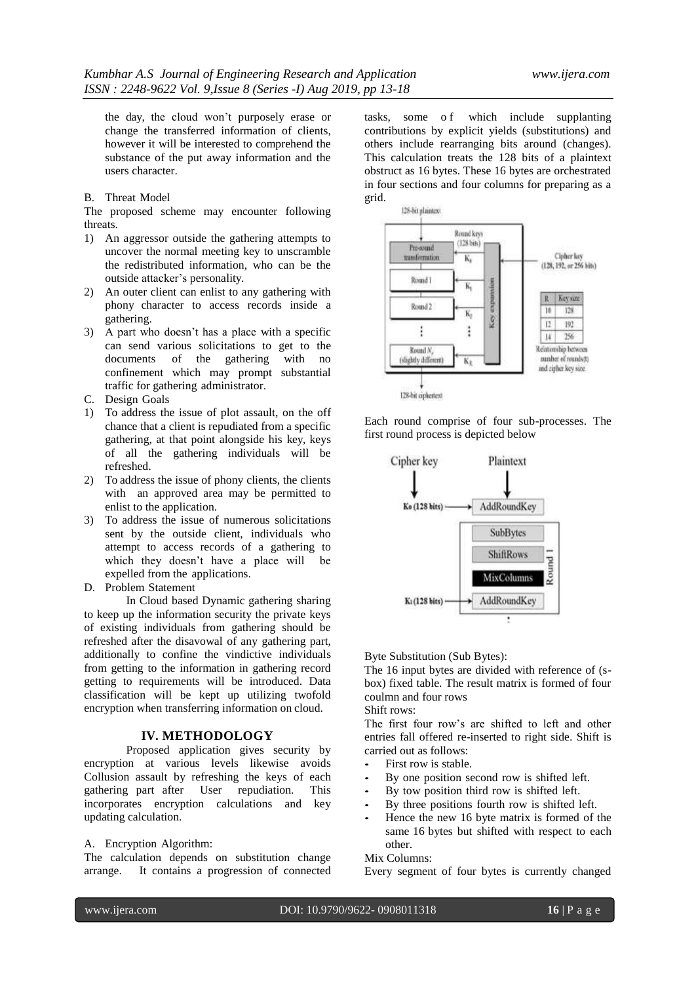the day, the cloud won't purposely erase or change the transferred information of clients, however it will be interested to comprehend the substance of the put away information and the users character.

## B. Threat Model

The proposed scheme may encounter following threats.

- 1) An aggressor outside the gathering attempts to uncover the normal meeting key to unscramble the redistributed information, who can be the outside attacker's personality.
- 2) An outer client can enlist to any gathering with phony character to access records inside a gathering.
- 3) A part who doesn't has a place with a specific can send various solicitations to get to the documents of the gathering with no confinement which may prompt substantial traffic for gathering administrator.
- C. Design Goals
- 1) To address the issue of plot assault, on the off chance that a client is repudiated from a specific gathering, at that point alongside his key, keys of all the gathering individuals will be refreshed.
- 2) To address the issue of phony clients, the clients with an approved area may be permitted to enlist to the application.
- 3) To address the issue of numerous solicitations sent by the outside client, individuals who attempt to access records of a gathering to which they doesn't have a place will be expelled from the applications.
- D. Problem Statement

In Cloud based Dynamic gathering sharing to keep up the information security the private keys of existing individuals from gathering should be refreshed after the disavowal of any gathering part, additionally to confine the vindictive individuals from getting to the information in gathering record getting to requirements will be introduced. Data classification will be kept up utilizing twofold encryption when transferring information on cloud.

#### **IV. METHODOLOGY**

Proposed application gives security by encryption at various levels likewise avoids Collusion assault by refreshing the keys of each gathering part after User repudiation. This incorporates encryption calculations and key updating calculation.

# A. Encryption Algorithm:

The calculation depends on substitution change arrange. It contains a progression of connected tasks, some of which include supplanting contributions by explicit yields (substitutions) and others include rearranging bits around (changes). This calculation treats the 128 bits of a plaintext obstruct as 16 bytes. These 16 bytes are orchestrated in four sections and four columns for preparing as a grid.



Each round comprise of four sub-processes. The first round process is depicted below



Byte Substitution (Sub Bytes):

The 16 input bytes are divided with reference of (sbox) fixed table. The result matrix is formed of four coulmn and four rows

# Shift rows:

The first four row's are shifted to left and other entries fall offered re-inserted to right side. Shift is carried out as follows:

- *•* First row is stable.
- By one position second row is shifted left.
- By tow position third row is shifted left.
- By three positions fourth row is shifted left.
- Hence the new 16 byte matrix is formed of the same 16 bytes but shifted with respect to each other.

Mix Columns:

Every segment of four bytes is currently changed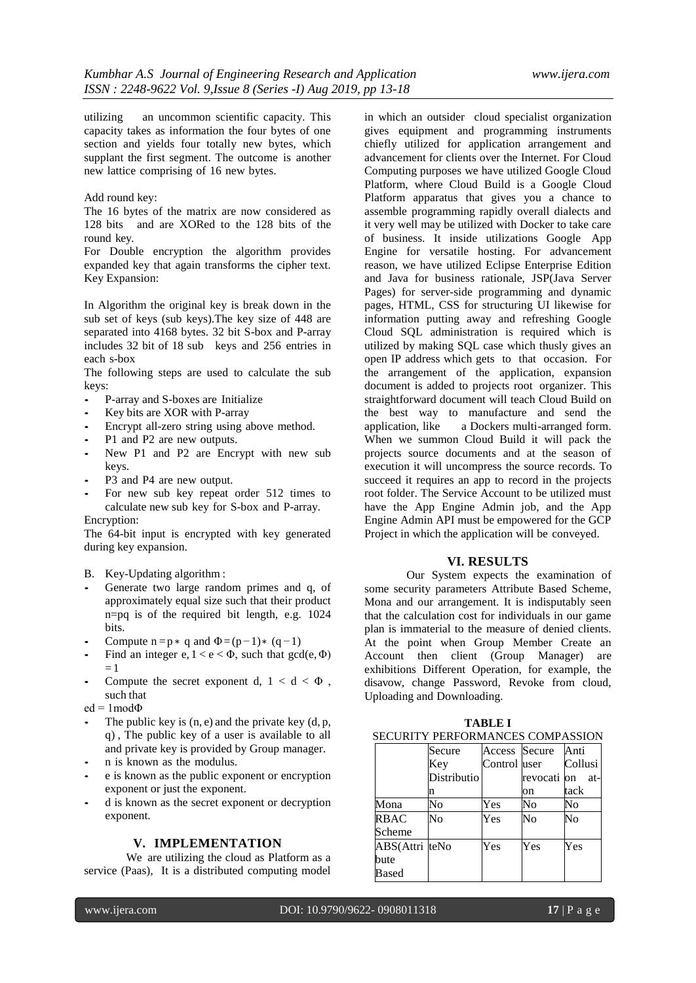utilizing an uncommon scientific capacity. This capacity takes as information the four bytes of one section and yields four totally new bytes, which supplant the first segment. The outcome is another new lattice comprising of 16 new bytes.

# Add round key:

The 16 bytes of the matrix are now considered as 128 bits and are XORed to the 128 bits of the round key.

For Double encryption the algorithm provides expanded key that again transforms the cipher text. Key Expansion:

In Algorithm the original key is break down in the sub set of keys (sub keys).The key size of 448 are separated into 4168 bytes. 32 bit S-box and P-array includes 32 bit of 18 sub keys and 256 entries in each s-box

The following steps are used to calculate the sub keys:

- *•* P-array and S-boxes are Initialize
- *•* Key bits are XOR with P-array
- Encrypt all-zero string using above method.
- *•* P1 and P2 are new outputs.
- New P1 and P2 are Encrypt with new sub keys.
- *•* P3 and P4 are new output.
- For new sub key repeat order 512 times to calculate new sub key for S-box and P-array. Encryption:

The 64-bit input is encrypted with key generated during key expansion.

- B. Key-Updating algorithm :
- Generate two large random primes and q, of approximately equal size such that their product n=pq is of the required bit length, e.g. 1024 bits.
- Compute  $n = p * q$  and  $\Phi = (p-1)*(q-1)$
- Find an integer e,  $1 < e < \Phi$ , such that  $gcd(e, \Phi)$  $=1$
- Compute the secret exponent d,  $1 < d < \Phi$ , such that
- ed =  $1 \text{mod} \Phi$
- The public key is  $(n, e)$  and the private key  $(d, p, e)$ q) , The public key of a user is available to all and private key is provided by Group manager.
- *•* n is known as the modulus.
- *•* e is known as the public exponent or encryption exponent or just the exponent.
- *•* d is known as the secret exponent or decryption exponent.

#### **V. IMPLEMENTATION**

We are utilizing the cloud as Platform as a service (Paas), It is a distributed computing model in which an outsider cloud specialist organization gives equipment and programming instruments chiefly utilized for application arrangement and advancement for clients over the Internet. For Cloud Computing purposes we have utilized Google Cloud Platform, where Cloud Build is a Google Cloud Platform apparatus that gives you a chance to assemble programming rapidly overall dialects and it very well may be utilized with Docker to take care of business. It inside utilizations Google App Engine for versatile hosting. For advancement reason, we have utilized Eclipse Enterprise Edition and Java for business rationale, JSP(Java Server Pages) for server-side programming and dynamic pages, HTML, CSS for structuring UI likewise for information putting away and refreshing Google Cloud SQL administration is required which is utilized by making SQL case which thusly gives an open IP address which gets to that occasion. For the arrangement of the application, expansion document is added to projects root organizer. This straightforward document will teach Cloud Build on the best way to manufacture and send the application, like a Dockers multi-arranged form. When we summon Cloud Build it will pack the projects source documents and at the season of execution it will uncompress the source records. To succeed it requires an app to record in the projects root folder. The Service Account to be utilized must have the App Engine Admin job, and the App Engine Admin API must be empowered for the GCP Project in which the application will be conveyed.

#### **VI. RESULTS**

Our System expects the examination of some security parameters Attribute Based Scheme, Mona and our arrangement. It is indisputably seen that the calculation cost for individuals in our game plan is immaterial to the measure of denied clients. At the point when Group Member Create an Account then client (Group Manager) are exhibitions Different Operation, for example, the disavow, change Password, Revoke from cloud, Uploading and Downloading.

| SECURITY PERFORMANCES COMPASSION |             |              |                    |         |  |  |  |
|----------------------------------|-------------|--------------|--------------------|---------|--|--|--|
|                                  | Secure      |              | Access Secure Anti |         |  |  |  |
|                                  | Key         | Control user |                    | Collusi |  |  |  |
|                                  | Distributio |              | revocati on        | at-     |  |  |  |
|                                  | n           |              | on                 | tack    |  |  |  |
| Mona                             | No          | Yes          | No                 | No      |  |  |  |
| <b>RBAC</b>                      | No          | Yes          | No                 | No      |  |  |  |
| Scheme                           |             |              |                    |         |  |  |  |
| ABS(Attri teNo                   |             | Yes          | Yes                | Yes     |  |  |  |
| bute                             |             |              |                    |         |  |  |  |
| Based                            |             |              |                    |         |  |  |  |

| <b>TABLE I</b>                 |        |  |                    |  |  |  |  |
|--------------------------------|--------|--|--------------------|--|--|--|--|
| CURITY PERFORMANCES COMPASSION |        |  |                    |  |  |  |  |
|                                | Secure |  | Access Secure Anti |  |  |  |  |